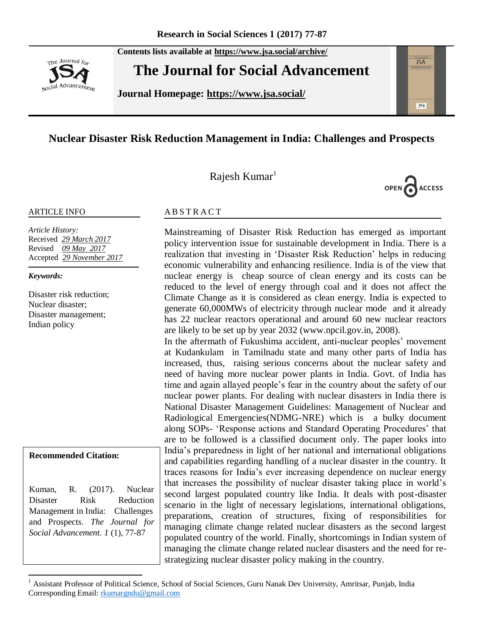The Journal for social Advancement **Contents lists available at <https://www.jsa.social/archive/>**

**The Journal for Social Advancement** 

**Journal Homepage: <https://www.jsa.social/>**



# **Nuclear Disaster Risk Reduction Management in India: Challenges and Prospects**

Rajesh Kumar<sup>1</sup>



#### ARTICLE INFO

*Article History:*  Received *29 March 2017* Revised *09 May 2017* Accepted *29 November 2017*

*Keywords:* 

Disaster risk reduction; Nuclear disaster; Disaster management; Indian policy

**Recommended Citation:**

 $\overline{a}$ 

Kuman, R. (2017). Nuclear Disaster Risk Reduction Management in India: Challenges and Prospects. *The Journal for Social Advancement. 1* (1), 77-87

### **ABSTRACT**

Mainstreaming of Disaster Risk Reduction has emerged as important policy intervention issue for sustainable development in India. There is a realization that investing in 'Disaster Risk Reduction' helps in reducing economic vulnerability and enhancing resilience. India is of the view that nuclear energy is cheap source of clean energy and its costs can be reduced to the level of energy through coal and it does not affect the Climate Change as it is considered as clean energy. India is expected to generate 60,000MWs of electricity through nuclear mode and it already has 22 nuclear reactors operational and around 60 new nuclear reactors are likely to be set up by year 2032 (www.npcil.gov.in, 2008).

In the aftermath of Fukushima accident, anti-nuclear peoples' movement at Kudankulam in Tamilnadu state and many other parts of India has increased, thus, raising serious concerns about the nuclear safety and need of having more nuclear power plants in India. Govt. of India has time and again allayed people's fear in the country about the safety of our nuclear power plants. For dealing with nuclear disasters in India there is National Disaster Management Guidelines: Management of Nuclear and Radiological Emergencies(NDMG-NRE) which is a bulky document along SOPs- ‗Response actions and Standard Operating Procedures' that are to be followed is a classified document only. The paper looks into India's preparedness in light of her national and international obligations and capabilities regarding handling of a nuclear disaster in the country. It traces reasons for India's ever increasing dependence on nuclear energy that increases the possibility of nuclear disaster taking place in world's second largest populated country like India. It deals with post-disaster scenario in the light of necessary legislations, international obligations, preparations, creation of structures, fixing of responsibilities for managing climate change related nuclear disasters as the second largest populated country of the world. Finally, shortcomings in Indian system of managing the climate change related nuclear disasters and the need for restrategizing nuclear disaster policy making in the country.

<sup>1</sup> Assistant Professor of Political Science, School of Social Sciences, Guru Nanak Dev University, Amritsar, Punjab, India Corresponding Email: [rkumargndu@gmail.com](mailto:rkumargndu@gmail.com)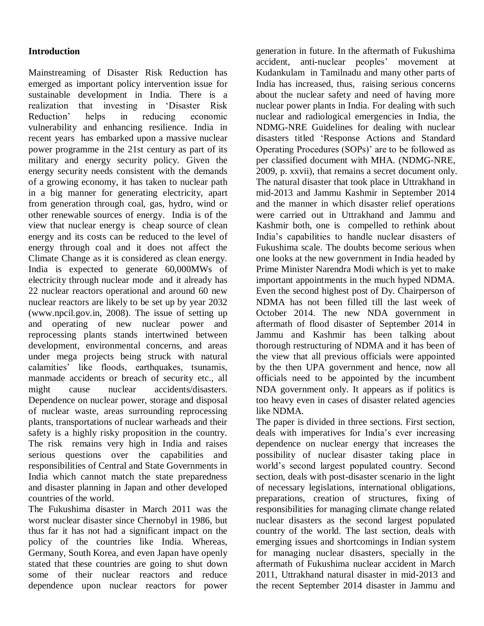### **Introduction**

Mainstreaming of Disaster Risk Reduction has emerged as important policy intervention issue for sustainable development in India. There is a realization that investing in 'Disaster Risk Reduction' helps in reducing economic vulnerability and enhancing resilience. India in recent years has embarked upon a massive nuclear power programme in the 21st century as part of its military and energy security policy. Given the energy security needs consistent with the demands of a growing economy, it has taken to nuclear path in a big manner for generating electricity, apart from generation through coal, gas, hydro, wind or other renewable sources of energy. India is of the view that nuclear energy is cheap source of clean energy and its costs can be reduced to the level of energy through coal and it does not affect the Climate Change as it is considered as clean energy. India is expected to generate 60,000MWs of electricity through nuclear mode and it already has 22 nuclear reactors operational and around 60 new nuclear reactors are likely to be set up by year 2032 [\(www.npcil.gov.in,](http://www.npcil.gov.in/) 2008). The issue of setting up and operating of new nuclear power and reprocessing plants stands intertwined between development, environmental concerns, and areas under mega projects being struck with natural calamities' like floods, earthquakes, tsunamis, manmade accidents or breach of security etc., all might cause nuclear accidents/disasters. Dependence on nuclear power, storage and disposal of nuclear waste, areas surrounding reprocessing plants, transportations of nuclear warheads and their safety is a highly risky proposition in the country. The risk remains very high in India and raises serious questions over the capabilities and responsibilities of Central and State Governments in India which cannot match the state preparedness and disaster planning in Japan and other developed countries of the world.

The Fukushima disaster in March 2011 was the worst nuclear disaster since Chernobyl in 1986, but thus far it has not had a significant impact on the policy of the countries like India. Whereas, Germany, South Korea, and even Japan have openly stated that these countries are going to shut down some of their nuclear reactors and reduce dependence upon nuclear reactors for power

generation in future. In the aftermath of Fukushima accident, anti-nuclear peoples' movement at Kudankulam in Tamilnadu and many other parts of India has increased, thus, raising serious concerns about the nuclear safety and need of having more nuclear power plants in India. For dealing with such nuclear and radiological emergencies in India, the NDMG-NRE Guidelines for dealing with nuclear disasters titled 'Response Actions and Standard Operating Procedures (SOPs)' are to be followed as per classified document with MHA. (NDMG-NRE, 2009, p. xxvii), that remains a secret document only. The natural disaster that took place in Uttrakhand in mid-2013 and Jammu Kashmir in September 2014 and the manner in which disaster relief operations were carried out in Uttrakhand and Jammu and Kashmir both, one is compelled to rethink about India's capabilities to handle nuclear disasters of Fukushima scale. The doubts become serious when one looks at the new government in India headed by Prime Minister Narendra Modi which is yet to make important appointments in the much hyped NDMA. Even the second highest post of Dy. Chairperson of NDMA has not been filled till the last week of October 2014. The new NDA government in aftermath of flood disaster of September 2014 in Jammu and Kashmir has been talking about thorough restructuring of NDMA and it has been of the view that all previous officials were appointed by the then UPA government and hence, now all officials need to be appointed by the incumbent NDA government only. It appears as if politics is too heavy even in cases of disaster related agencies like NDMA.

The paper is divided in three sections. First section, deals with imperatives for India's ever increasing dependence on nuclear energy that increases the possibility of nuclear disaster taking place in world's second largest populated country. Second section, deals with post-disaster scenario in the light of necessary legislations, international obligations, preparations, creation of structures, fixing of responsibilities for managing climate change related nuclear disasters as the second largest populated country of the world. The last section, deals with emerging issues and shortcomings in Indian system for managing nuclear disasters, specially in the aftermath of Fukushima nuclear accident in March 2011, Uttrakhand natural disaster in mid-2013 and the recent September 2014 disaster in Jammu and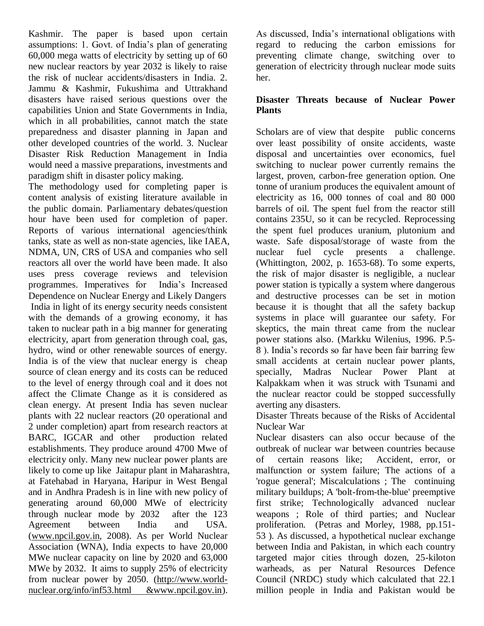Kashmir. The paper is based upon certain assumptions: 1. Govt. of India's plan of generating 60,000 mega watts of electricity by setting up of 60 new nuclear reactors by year 2032 is likely to raise the risk of nuclear accidents/disasters in India. 2. Jammu & Kashmir, Fukushima and Uttrakhand disasters have raised serious questions over the capabilities Union and State Governments in India, which in all probabilities, cannot match the state preparedness and disaster planning in Japan and other developed countries of the world. 3. Nuclear Disaster Risk Reduction Management in India would need a massive preparations, investments and paradigm shift in disaster policy making.

The methodology used for completing paper is content analysis of existing literature available in the public domain. Parliamentary debates/question hour have been used for completion of paper. Reports of various international agencies/think tanks, state as well as non-state agencies, like IAEA, NDMA, UN, CRS of USA and companies who sell reactors all over the world have been made. It also uses press coverage reviews and television programmes. Imperatives for India's Increased Dependence on Nuclear Energy and Likely Dangers India in light of its energy security needs consistent with the demands of a growing economy, it has taken to nuclear path in a big manner for generating electricity, apart from generation through coal, gas, hydro, wind or other renewable sources of energy. India is of the view that nuclear energy is cheap source of clean energy and its costs can be reduced to the level of energy through coal and it does not affect the Climate Change as it is considered as clean energy. At present India has seven nuclear plants with 22 nuclear reactors (20 operational and 2 under completion) apart from research reactors at BARC, IGCAR and other production related establishments. They produce around 4700 Mwe of electricity only. Many new nuclear power plants are likely to come up like Jaitapur plant in Maharashtra, at Fatehabad in Haryana, Haripur in West Bengal and in Andhra Pradesh is in line with new policy of generating around 60,000 MWe of electricity through nuclear mode by 2032 after the 123 Agreement between India and USA. [\(www.npcil.gov.in,](http://www.npcil.gov.in/) 2008). As per World Nuclear Association (WNA), India expects to have 20,000 MWe nuclear capacity on line by 2020 and 63,000 MWe by 2032. It aims to supply 25% of electricity from nuclear power by 2050. [\(http://www.world](http://www.world-nuclear.org/info/inf53.html%20&www.npcil.gov.in)[nuclear.org/info/inf53.html &www.npcil.gov.in\)](http://www.world-nuclear.org/info/inf53.html%20&www.npcil.gov.in).

As discussed, India's international obligations with regard to reducing the carbon emissions for preventing climate change, switching over to generation of electricity through nuclear mode suits her.

### **Disaster Threats because of Nuclear Power Plants**

Scholars are of view that despite public concerns over least possibility of onsite accidents, waste disposal and uncertainties over economics, fuel switching to nuclear power currently remains the largest, proven, carbon-free generation option. One tonne of uranium produces the equivalent amount of electricity as 16, 000 tonnes of coal and 80 000 barrels of oil. The spent fuel from the reactor still contains 235U, so it can be recycled. Reprocessing the spent fuel produces uranium, plutonium and waste. Safe disposal/storage of waste from the nuclear fuel cycle presents a challenge. (Whittington, 2002, p. 1653-68). To some experts, the risk of major disaster is negligible, a nuclear power station is typically a system where dangerous and destructive processes can be set in motion because it is thought that all the safety backup systems in place will guarantee our safety. For skeptics, the main threat came from the nuclear power stations also. (Markku Wilenius, 1996. P.5- 8 ). India's records so far have been fair barring few small accidents at certain nuclear power plants, specially, Madras Nuclear Power Plant at Kalpakkam when it was struck with Tsunami and the nuclear reactor could be stopped successfully averting any disasters.

Disaster Threats because of the Risks of Accidental Nuclear War

Nuclear disasters can also occur because of the outbreak of nuclear war between countries because of certain reasons like; Accident, error, or malfunction or system failure; The actions of a 'rogue general'; Miscalculations ; The continuing military buildups; A 'bolt-from-the-blue' preemptive first strike; Technologically advanced nuclear weapons ; Role of third parties; and Nuclear proliferation. (Petras and Morley, 1988, pp.151- 53 ). As discussed, a hypothetical nuclear exchange between India and Pakistan, in which each country targeted major cities through dozen, 25-kiloton warheads, as per Natural Resources Defence Council (NRDC) study which calculated that 22.1 million people in India and Pakistan would be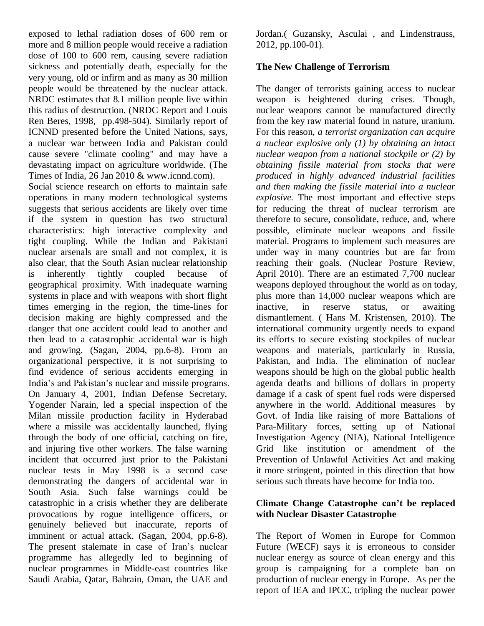exposed to lethal radiation doses of 600 rem or more and 8 million people would receive a radiation dose of 100 to 600 rem, causing severe radiation sickness and potentially death, especially for the very young, old or infirm and as many as 30 million people would be threatened by the nuclear attack. NRDC estimates that 8.1 million people live within this radius of destruction. (NRDC Report and Louis Ren Beres, 1998, pp.498-504). Similarly report of ICNND presented before the United Nations, says, a nuclear war between India and Pakistan could cause severe "climate cooling" and may have a devastating impact on agriculture worldwide. (The Times of India, 26 Jan 2010 & [www.icnnd.com\)](http://www.icnnd.com/).

Social science research on efforts to maintain safe operations in many modern technological systems suggests that serious accidents are likely over time if the system in question has two structural characteristics: high interactive complexity and tight coupling. While the Indian and Pakistani nuclear arsenals are small and not complex, it is also clear, that the South Asian nuclear relationship is inherently tightly coupled because of geographical proximity. With inadequate warning systems in place and with weapons with short flight times emerging in the region, the time-lines for decision making are highly compressed and the danger that one accident could lead to another and then lead to a catastrophic accidental war is high and growing. (Sagan, 2004, pp.6-8). From an organizational perspective, it is not surprising to find evidence of serious accidents emerging in India's and Pakistan's nuclear and missile programs. On January 4, 2001, Indian Defense Secretary, Yogender Narain, led a special inspection of the Milan missile production facility in Hyderabad where a missile was accidentally launched, flying through the body of one official, catching on fire, and injuring five other workers. The false warning incident that occurred just prior to the Pakistani nuclear tests in May 1998 is a second case demonstrating the dangers of accidental war in South Asia. Such false warnings could be catastrophic in a crisis whether they are deliberate provocations by rogue intelligence officers, or genuinely believed but inaccurate, reports of imminent or actual attack. (Sagan, 2004, pp.6-8). The present stalemate in case of Iran's nuclear programme has allegedly led to beginning of nuclear programmes in Middle-east countries like Saudi Arabia, Qatar, Bahrain, Oman, the UAE and

Jordan.( Guzansky, Asculai , and Lindenstrauss, 2012, pp.100-01).

### **The New Challenge of Terrorism**

The danger of terrorists gaining access to nuclear weapon is heightened during crises. Though, nuclear weapons cannot be manufactured directly from the key raw material found in nature, uranium. For this reason, *a terrorist organization can acquire a nuclear explosive only (1) by obtaining an intact nuclear weapon from a national stockpile or (2) by obtaining fissile material from stocks that were produced in highly advanced industrial facilities and then making the fissile material into a nuclear explosive.* The most important and effective steps for reducing the threat of nuclear terrorism are therefore to secure, consolidate, reduce, and, where possible, eliminate nuclear weapons and fissile material. Programs to implement such measures are under way in many countries but are far from reaching their goals. (Nuclear Posture Review, April 2010). There are an estimated 7,700 nuclear weapons deployed throughout the world as on today, plus more than 14,000 nuclear weapons which are inactive, in reserve status, or awaiting dismantlement. ( Hans M. Kristensen, 2010). The international community urgently needs to expand its efforts to secure existing stockpiles of nuclear weapons and materials, particularly in Russia, Pakistan, and India. The elimination of nuclear weapons should be high on the global public health agenda deaths and billions of dollars in property damage if a cask of spent fuel rods were dispersed anywhere in the world. Additional measures by Govt. of India like raising of more Battalions of Para-Military forces, setting up of National Investigation Agency (NIA), National Intelligence Grid like institution or amendment of the Prevention of Unlawful Activities Act and making it more stringent, pointed in this direction that how serious such threats have become for India too.

### **Climate Change Catastrophe can't be replaced with Nuclear Disaster Catastrophe**

The Report of Women in Europe for Common Future (WECF) says it is erroneous to consider nuclear energy as source of clean energy and this group is campaigning for a complete ban on production of nuclear energy in Europe. As per the report of IEA and IPCC, tripling the nuclear power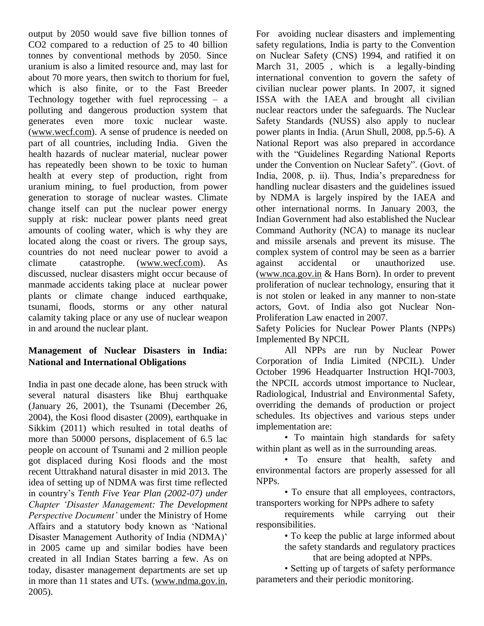output by 2050 would save five billion tonnes of CO2 compared to a reduction of 25 to 40 billion tonnes by conventional methods by 2050. Since uranium is also a limited resource and, may last for about 70 more years, then switch to thorium for fuel, which is also finite, or to the Fast Breeder Technology together with fuel reprocessing – a polluting and dangerous production system that generates even more toxic nuclear waste. [\(www.wecf.com\)](http://www.wecf.com/). A sense of prudence is needed on part of all countries, including India. Given the health hazards of nuclear material, nuclear power has repeatedly been shown to be toxic to human health at every step of production, right from uranium mining, to fuel production, from power generation to storage of nuclear wastes. Climate change itself can put the nuclear power energy supply at risk: nuclear power plants need great amounts of cooling water, which is why they are located along the coast or rivers. The group says, countries do not need nuclear power to avoid a climate catastrophe. [\(www.wecf.com\)](http://www.wecf.com/). As discussed, nuclear disasters might occur because of manmade accidents taking place at nuclear power plants or climate change induced earthquake, tsunami, floods, storms or any other natural calamity taking place or any use of nuclear weapon in and around the nuclear plant.

## **Management of Nuclear Disasters in India: National and International Obligations**

India in past one decade alone, has been struck with several natural disasters like Bhuj earthquake (January 26, 2001), the Tsunami (December 26, 2004), the Kosi flood disaster (2009), earthquake in Sikkim (2011) which resulted in total deaths of more than 50000 persons, displacement of 6.5 lac people on account of Tsunami and 2 million people got displaced during Kosi floods and the most recent Uttrakhand natural disaster in mid 2013. The idea of setting up of NDMA was first time reflected in country's *Tenth Five Year Plan (2002-07) under Chapter 'Disaster Management: The Development Perspective Document'* under the Ministry of Home Affairs and a statutory body known as 'National Disaster Management Authority of India (NDMA)' in 2005 came up and similar bodies have been created in all Indian States barring a few. As on today, disaster management departments are set up in more than 11 states and UTs. [\(www.ndma.gov.in,](http://www.ndma.gov.in/) 2005).

For avoiding nuclear disasters and implementing safety regulations, India is party to the Convention on Nuclear Safety (CNS) 1994, and ratified it on March 31, 2005, which is a legally-binding international convention to govern the safety of civilian nuclear power plants. In 2007, it signed ISSA with the IAEA and brought all civilian nuclear reactors under the safeguards. The Nuclear Safety Standards (NUSS) also apply to nuclear power plants in India. (Arun Shull, 2008, pp.5-6). A National Report was also prepared in accordance with the "Guidelines Regarding National Reports" under the Convention on Nuclear Safety". (Govt. of India, 2008, p. ii). Thus, India's preparedness for handling nuclear disasters and the guidelines issued by NDMA is largely inspired by the IAEA and other international norms. In January 2003, the Indian Government had also established the Nuclear Command Authority (NCA) to manage its nuclear and missile arsenals and prevent its misuse. The complex system of control may be seen as a barrier against accidental or unauthorized use. [\(www.nca.gov.in](http://www.nca.gov.in/) & Hans Born). In order to prevent proliferation of nuclear technology, ensuring that it is not stolen or leaked in any manner to non-state actors, Govt. of India also got Nuclear Non-Proliferation Law enacted in 2007.

Safety Policies for Nuclear Power Plants (NPPs) Implemented By NPCIL

All NPPs are run by Nuclear Power Corporation of India Limited (NPCIL). Under October 1996 Headquarter Instruction HQI-7003, the NPCIL accords utmost importance to Nuclear, Radiological, Industrial and Environmental Safety, overriding the demands of production or project schedules. Its objectives and various steps under implementation are:

• To maintain high standards for safety within plant as well as in the surrounding areas.

• To ensure that health, safety and environmental factors are properly assessed for all NPPs.

• To ensure that all employees, contractors, transporters working for NPPs adhere to safety

requirements while carrying out their responsibilities.

• To keep the public at large informed about

the safety standards and regulatory practices

that are being adopted at NPPs.

• Setting up of targets of safety performance parameters and their periodic monitoring.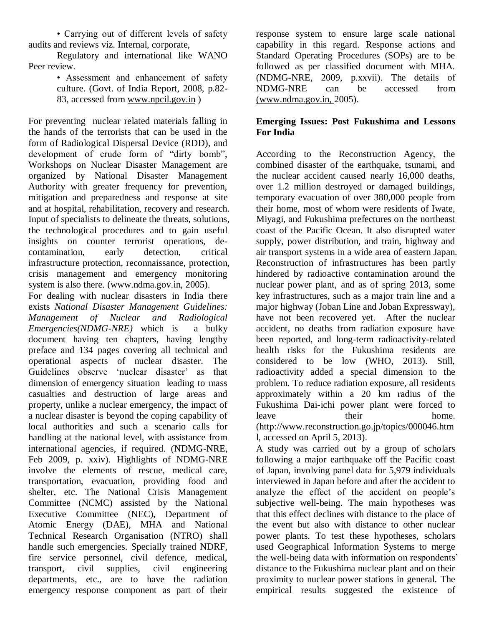• Carrying out of different levels of safety audits and reviews viz. Internal, corporate,

Regulatory and international like WANO Peer review.

> • Assessment and enhancement of safety culture. (Govt. of India Report, 2008, p.82- 83, accessed from www.npcil.gov.in )

For preventing nuclear related materials falling in the hands of the terrorists that can be used in the form of Radiological Dispersal Device (RDD), and development of crude form of "dirty bomb", Workshops on Nuclear Disaster Management are organized by National Disaster Management Authority with greater frequency for prevention, mitigation and preparedness and response at site and at hospital, rehabilitation, recovery and research. Input of specialists to delineate the threats, solutions, the technological procedures and to gain useful insights on counter terrorist operations, decontamination, early detection, critical infrastructure protection, reconnaissance, protection, crisis management and emergency monitoring system is also there. (www.ndma.gov.in, 2005).

For dealing with nuclear disasters in India there exists *National Disaster Management Guidelines: Management of Nuclear and Radiological Emergencies(NDMG-NRE)* which is a bulky document having ten chapters, having lengthy preface and 134 pages covering all technical and operational aspects of nuclear disaster. The Guidelines observe 'nuclear disaster' as that dimension of emergency situation leading to mass casualties and destruction of large areas and property, unlike a nuclear emergency, the impact of a nuclear disaster is beyond the coping capability of local authorities and such a scenario calls for handling at the national level, with assistance from international agencies, if required. (NDMG-NRE, Feb 2009, p. xxiv). Highlights of NDMG-NRE involve the elements of rescue, medical care, transportation, evacuation, providing food and shelter, etc. The National Crisis Management Committee (NCMC) assisted by the National Executive Committee (NEC), Department of Atomic Energy (DAE), MHA and National Technical Research Organisation (NTRO) shall handle such emergencies. Specially trained NDRF, fire service personnel, civil defence, medical, transport, civil supplies, civil engineering departments, etc., are to have the radiation emergency response component as part of their

response system to ensure large scale national capability in this regard. Response actions and Standard Operating Procedures (SOPs) are to be followed as per classified document with MHA. (NDMG-NRE, 2009, p.xxvii). The details of NDMG-NRE can be accessed from (www.ndma.gov.in, 2005).

### **Emerging Issues: Post Fukushima and Lessons For India**

According to the Reconstruction Agency, the combined disaster of the earthquake, tsunami, and the nuclear accident caused nearly 16,000 deaths, over 1.2 million destroyed or damaged buildings, temporary evacuation of over 380,000 people from their home, most of whom were residents of Iwate, Miyagi, and Fukushima prefectures on the northeast coast of the Pacific Ocean. It also disrupted water supply, power distribution, and train, highway and air transport systems in a wide area of eastern Japan. Reconstruction of infrastructures has been partly hindered by radioactive contamination around the nuclear power plant, and as of spring 2013, some key infrastructures, such as a major train line and a major highway (Joban Line and Joban Expressway), have not been recovered yet. After the nuclear accident, no deaths from radiation exposure have been reported, and long-term radioactivity-related health risks for the Fukushima residents are considered to be low (WHO, 2013). Still, radioactivity added a special dimension to the problem. To reduce radiation exposure, all residents approximately within a 20 km radius of the Fukushima Dai-ichi power plant were forced to leave their home. (http://www.reconstruction.go.jp/topics/000046.htm l, accessed on April 5, 2013).

A study was carried out by a group of scholars following a major earthquake off the Pacific coast of Japan, involving panel data for 5,979 individuals interviewed in Japan before and after the accident to analyze the effect of the accident on people's subjective well-being. The main hypotheses was that this effect declines with distance to the place of the event but also with distance to other nuclear power plants. To test these hypotheses, scholars used Geographical Information Systems to merge the well-being data with information on respondents' distance to the Fukushima nuclear plant and on their proximity to nuclear power stations in general. The empirical results suggested the existence of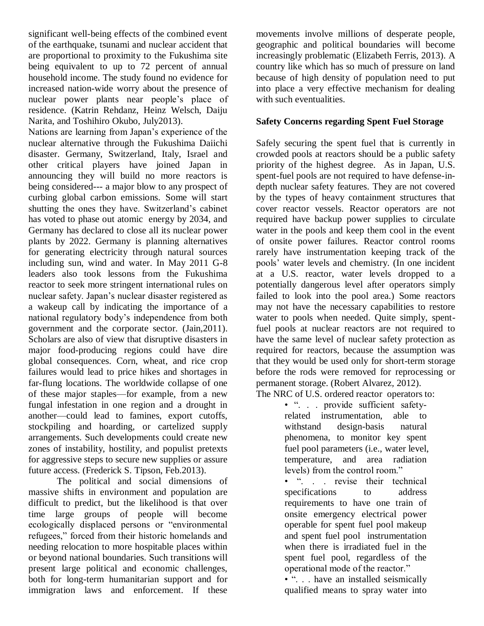significant well-being effects of the combined event of the earthquake, tsunami and nuclear accident that are proportional to proximity to the Fukushima site being equivalent to up to 72 percent of annual household income. The study found no evidence for increased nation-wide worry about the presence of nuclear power plants near people's place of residence. (Katrin Rehdanz, Heinz Welsch, Daiju Narita, and Toshihiro Okubo, July2013).

Nations are learning from Japan's experience of the nuclear alternative through the Fukushima Daiichi disaster. Germany, Switzerland, Italy, Israel and other critical players have joined Japan in announcing they will build no more reactors is being considered--- a major blow to any prospect of curbing global carbon emissions. Some will start shutting the ones they have. Switzerland's cabinet has voted to phase out atomic energy by 2034, and Germany has declared to close all its nuclear power plants by 2022. Germany is planning alternatives for generating electricity through natural sources including sun, wind and water. In May 2011 G-8 leaders also took lessons from the Fukushima reactor to seek more stringent international rules on nuclear safety. Japan's nuclear disaster registered as a wakeup call by indicating the importance of a national regulatory body's independence from both government and the corporate sector. (Jain*,*2011). Scholars are also of view that disruptive disasters in major food-producing regions could have dire global consequences. Corn, wheat, and rice crop failures would lead to price hikes and shortages in far-flung locations. The worldwide collapse of one of these major staples—for example, from a new fungal infestation in one region and a drought in another—could lead to famines, export cutoffs, stockpiling and hoarding, or cartelized supply arrangements. Such developments could create new zones of instability, hostility, and populist pretexts for aggressive steps to secure new supplies or assure future access. (Frederick S. Tipson, Feb.2013).

The political and social dimensions of massive shifts in environment and population are difficult to predict, but the likelihood is that over time large groups of people will become ecologically displaced persons or "environmental" refugees," forced from their historic homelands and needing relocation to more hospitable places within or beyond national boundaries. Such transitions will present large political and economic challenges, both for long-term humanitarian support and for immigration laws and enforcement. If these

movements involve millions of desperate people, geographic and political boundaries will become increasingly problematic (Elizabeth Ferris, 2013). A country like which has so much of pressure on land because of high density of population need to put into place a very effective mechanism for dealing with such eventualities.

### **Safety Concerns regarding Spent Fuel Storage**

Safely securing the spent fuel that is currently in crowded pools at reactors should be a public safety priority of the highest degree. As in Japan, U.S. spent-fuel pools are not required to have defense-indepth nuclear safety features. They are not covered by the types of heavy containment structures that cover reactor vessels. Reactor operators are not required have backup power supplies to circulate water in the pools and keep them cool in the event of onsite power failures. Reactor control rooms rarely have instrumentation keeping track of the pools' water levels and chemistry. (In one incident at a U.S. reactor, water levels dropped to a potentially dangerous level after operators simply failed to look into the pool area.) Some reactors may not have the necessary capabilities to restore water to pools when needed. Quite simply, spentfuel pools at nuclear reactors are not required to have the same level of nuclear safety protection as required for reactors, because the assumption was that they would be used only for short-term storage before the rods were removed for reprocessing or permanent storage. (Robert Alvarez*,* 2012). The NRC of U.S. ordered reactor operators to:

• ". . . provide sufficient safetyrelated instrumentation, able to withstand design-basis natural phenomena, to monitor key spent fuel pool parameters (i.e., water level, temperature, and area radiation levels) from the control room."

• ". . . revise their technical specifications to address requirements to have one train of onsite emergency electrical power operable for spent fuel pool makeup and spent fuel pool instrumentation when there is irradiated fuel in the spent fuel pool, regardless of the operational mode of the reactor."

• "... have an installed seismically qualified means to spray water into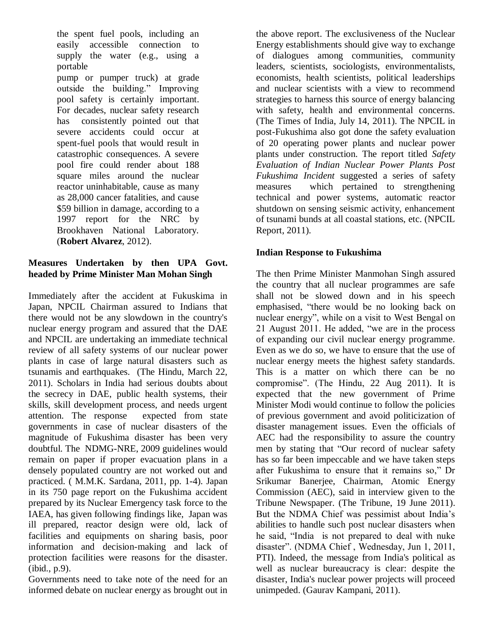the spent fuel pools, including an easily accessible connection to supply the water (e.g., using a portable

pump or pumper truck) at grade outside the building." Improving pool safety is certainly important. For decades, nuclear safety research has consistently pointed out that severe accidents could occur at spent-fuel pools that would result in catastrophic consequences. A severe pool fire could render about 188 square miles around the nuclear reactor uninhabitable, cause as many as 28,000 cancer fatalities, and cause \$59 billion in damage, according to a 1997 report for the NRC by Brookhaven National Laboratory. (**Robert Alvarez**, 2012).

## **Measures Undertaken by then UPA Govt. headed by Prime Minister Man Mohan Singh**

Immediately after the accident at Fukuskima in Japan, NPCIL Chairman assured to Indians that there would not be any slowdown in the country's nuclear energy program and assured that the DAE and NPCIL are undertaking an immediate technical review of all safety systems of our nuclear power plants in case of large natural disasters such as tsunamis and earthquakes. (The Hindu, March 22, 2011). Scholars in India had serious doubts about the secrecy in DAE, public health systems, their skills, skill development process, and needs urgent attention. The response expected from state governments in case of nuclear disasters of the magnitude of Fukushima disaster has been very doubtful. The NDMG-NRE, 2009 guidelines would remain on paper if proper evacuation plans in a densely populated country are not worked out and practiced. ( M.M.K. Sardana, 2011, pp. 1-4). Japan in its 750 page report on the Fukushima accident prepared by its Nuclear Emergency task force to the IAEA, has given following findings like, Japan was ill prepared, reactor design were old, lack of facilities and equipments on sharing basis, poor information and decision-making and lack of protection facilities were reasons for the disaster. (ibid., p.9).

Governments need to take note of the need for an informed debate on nuclear energy as brought out in

the above report. The exclusiveness of the Nuclear Energy establishments should give way to exchange of dialogues among communities, community leaders, scientists, sociologists, environmentalists, economists, health scientists, political leaderships and nuclear scientists with a view to recommend strategies to harness this source of energy balancing with safety, health and environmental concerns. (The Times of India, July 14, 2011). The NPCIL in post-Fukushima also got done the safety evaluation of 20 operating power plants and nuclear power plants under construction. The report titled *Safety Evaluation of Indian Nuclear Power Plants Post Fukushima Incident* suggested a series of safety measures which pertained to strengthening technical and power systems, automatic reactor shutdown on sensing seismic activity, enhancement of tsunami bunds at all coastal stations, etc. (NPCIL Report, 2011).

### **Indian Response to Fukushima**

The then Prime Minister Manmohan Singh assured the country that all nuclear programmes are safe shall not be slowed down and in his speech emphasised, "there would be no looking back on nuclear energy", while on a visit to West Bengal on 21 August 2011. He added, "we are in the process of expanding our civil nuclear energy programme. Even as we do so, we have to ensure that the use of nuclear energy meets the highest safety standards. This is a matter on which there can be no compromise". (The Hindu,  $22$  Aug  $2011$ ). It is expected that the new government of Prime Minister Modi would continue to follow the policies of previous government and avoid politicization of disaster management issues. Even the officials of AEC had the responsibility to assure the country men by stating that "Our record of nuclear safety has so far been impeccable and we have taken steps after Fukushima to ensure that it remains so," Dr Srikumar Banerjee, Chairman, Atomic Energy Commission (AEC), said in interview given to the Tribune Newspaper. (The Tribune, 19 June 2011). But the NDMA Chief was pessimist about India's abilities to handle such post nuclear disasters when he said, "India is not prepared to deal with nuke disaster". (NDMA Chief, Wednesday, Jun 1, 2011, PTI). Indeed, the message from India's political as well as nuclear bureaucracy is clear: despite the disaster, India's nuclear power projects will proceed unimpeded. (Gaurav Kampani, 2011).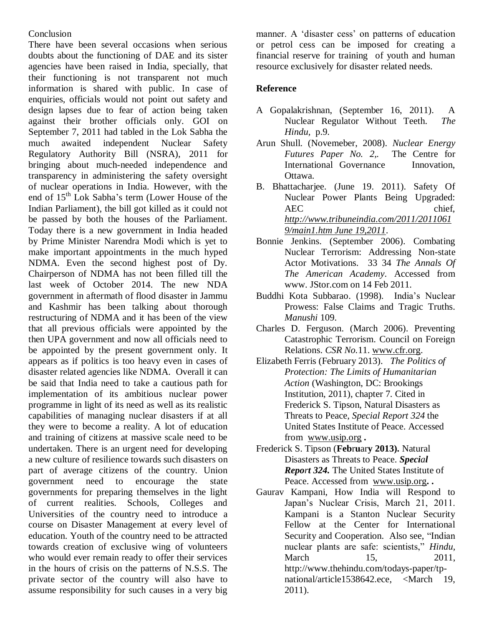### **Conclusion**

There have been several occasions when serious doubts about the functioning of DAE and its sister agencies have been raised in India, specially, that their functioning is not transparent not much information is shared with public. In case of enquiries, officials would not point out safety and design lapses due to fear of action being taken against their brother officials only. GOI on September 7, 2011 had tabled in the Lok Sabha the much awaited independent Nuclear Safety Regulatory Authority Bill (NSRA), 2011 for bringing about much-needed independence and transparency in administering the safety oversight of nuclear operations in India. However, with the end of 15th Lok Sabha's term (Lower House of the Indian Parliament), the bill got killed as it could not be passed by both the houses of the Parliament. Today there is a new government in India headed by Prime Minister Narendra Modi which is yet to make important appointments in the much hyped NDMA. Even the second highest post of Dy. Chairperson of NDMA has not been filled till the last week of October 2014. The new NDA government in aftermath of flood disaster in Jammu and Kashmir has been talking about thorough restructuring of NDMA and it has been of the view that all previous officials were appointed by the then UPA government and now all officials need to be appointed by the present government only. It appears as if politics is too heavy even in cases of disaster related agencies like NDMA. Overall it can be said that India need to take a cautious path for implementation of its ambitious nuclear power programme in light of its need as well as its realistic capabilities of managing nuclear disasters if at all they were to become a reality. A lot of education and training of citizens at massive scale need to be undertaken. There is an urgent need for developing a new culture of resilience towards such disasters on part of average citizens of the country. Union government need to encourage the state governments for preparing themselves in the light of current realities. Schools, Colleges and Universities of the country need to introduce a course on Disaster Management at every level of education. Youth of the country need to be attracted towards creation of exclusive wing of volunteers who would ever remain ready to offer their services in the hours of crisis on the patterns of N.S.S. The private sector of the country will also have to assume responsibility for such causes in a very big

manner. A 'disaster cess' on patterns of education or petrol cess can be imposed for creating a financial reserve for training of youth and human resource exclusively for disaster related needs.

### **Reference**

- A Gopalakrishnan, (September 16, 2011). A Nuclear Regulator Without Teeth. *The Hindu,* p.9.
- Arun Shull. (Novemeber, 2008). *Nuclear Energy Futures Paper No. 2,.* The Centre for International Governance Innovation, Ottawa.
- B. Bhattacharjee. (June 19. 2011). Safety Of Nuclear Power Plants Being Upgraded: AEC chief. *[http://www.tribuneindia.com/2011/2011061](http://www.tribuneindia.com/2011/20110619/main1.htm%20June%2019,2011) [9/main1.htm June 19,2011](http://www.tribuneindia.com/2011/20110619/main1.htm%20June%2019,2011)*.
- Bonnie Jenkins. (September 2006). Combating Nuclear Terrorism: Addressing Non-state Actor Motivations. 33 34 *The Annals Of The American Academy*. Accessed from www. JStor.com on 14 Feb 2011.
- Buddhi Kota Subbarao. (1998). India's Nuclear Prowess: False Claims and Tragic Truths. *Manushi* 109.
- Charles D. Ferguson. (March 2006). Preventing Catastrophic Terrorism. Council on Foreign Relations. *CSR No.*11. [www.cfr.org.](http://www.cfr.org/)
- Elizabeth Ferris (February 2013). *The Politics of Protection: The Limits of Humanitarian Action* (Washington, DC: Brookings Institution, 2011), chapter 7. Cited in Frederick S. Tipson, Natural Disasters as Threats to Peace, *Special Report 324* the United States Institute of Peace. Accessed from [www.usip.org](http://www.usip.org/) **.**
- Frederick S. Tipson (**Feb**r**u**ar**y 2013).** Natural Disasters as Threats to Peace. *Special Report 324.* The United States Institute of Peace. Accessed from [www.usip.org](http://www.usip.org/)**. .**
- Gaurav Kampani, How India will Respond to Japan's Nuclear Crisis, March 21, 2011. Kampani is a Stanton Nuclear Security Fellow at the Center for International Security and Cooperation. Also see, "Indian nuclear plants are safe: scientists," *Hindu*, March 15, 2011, http://www.thehindu.com/todays-paper/tpnational/article1538642.ece, <March 19, 2011).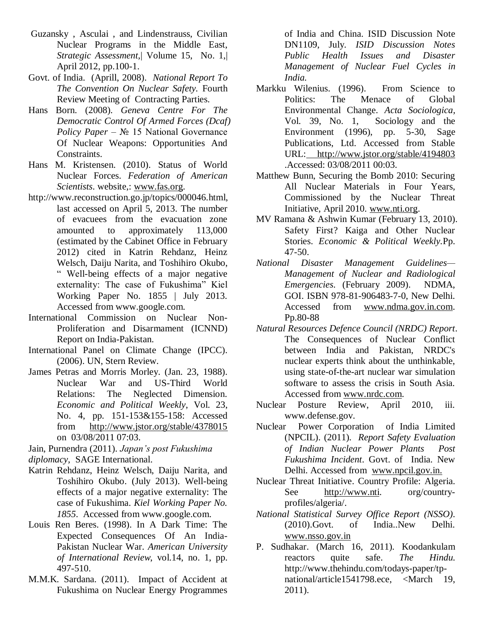- Guzansky , Asculai , and Lindenstrauss, Civilian Nuclear Programs in the Middle East, *Strategic Assessment,*| Volume 15, No. 1,| April 2012, pp.100-1.
- Govt. of India. (Aprill, 2008). *National Report To The Convention On Nuclear Safety.* Fourth Review Meeting of Contracting Parties.
- Hans Born. (2008). *Geneva Centre For The Democratic Control Of Armed Forces (Dcaf) Policy Paper* – № 15 National Governance Of Nuclear Weapons: Opportunities And Constraints.
- Hans M. Kristensen. (2010). Status of World Nuclear Forces. *Federation of American Scientists*. website,: [www.fas.org.](http://www.fas.org/)
- http://www.reconstruction.go.jp/topics/000046.html, last accessed on April 5, 2013. The number of evacuees from the evacuation zone amounted to approximately 113,000 (estimated by the Cabinet Office in February 2012) cited in Katrin Rehdanz, Heinz Welsch, Daiju Narita, and Toshihiro Okubo, ― Well-being effects of a major negative externality: The case of Fukushima" Kiel Working Paper No. 1855 | July 2013. Accessed from www.google.com.
- International Commission on Nuclear Non-Proliferation and Disarmament (ICNND) Report on India-Pakistan.
- International Panel on Climate Change (IPCC). (2006). UN, Stern Review.
- James Petras and Morris Morley. (Jan. 23, 1988). Nuclear War and US-Third World Relations: The Neglected Dimension. *Economic and Political Weekly*, Vol. 23, No. 4, pp. 151-153&155-158: Accessed from http://www.jstor.org/stable/4378015 on 03/08/2011 07:03.

Jain, Purnendra (2011). *Japan's post Fukushima diplomacy,* SAGE International.

- Katrin Rehdanz, Heinz Welsch, Daiju Narita, and Toshihiro Okubo. (July 2013). Well-being effects of a major negative externality: The case of Fukushima. *Kiel Working Paper No. 1855*. Accessed from www.google.com.
- Louis Ren Beres. (1998). In A Dark Time: The Expected Consequences Of An India-Pakistan Nuclear War. *American University of International Review*, vol.14, no. 1, pp. 497-510.
- M.M.K. Sardana. (2011). Impact of Accident at Fukushima on Nuclear Energy Programmes

of India and China. ISID Discussion Note DN1109, July. *ISID Discussion Notes Public Health Issues and Disaster Management of Nuclear Fuel Cycles in India.*

- Markku Wilenius. (1996). From Science to Politics: The Menace of Global Environmental Change. *Acta Sociologica,* Vol. 39, No. 1, Sociology and the Environment (1996), pp. 5-30, Sage Publications, Ltd. Accessed from Stable URL: http://www.jstor.org/stable/4194803 .Accessed: 03/08/2011 00:03.
- Matthew Bunn, Securing the Bomb 2010: Securing All Nuclear Materials in Four Years, Commissioned by the Nuclear Threat Initiative, April 2010. [www.nti.org.](http://www.nti.org/)
- MV Ramana & Ashwin Kumar (February 13, 2010). Safety First? Kaiga and Other Nuclear Stories. *Economic & Political Weekly.*Pp. 47-50.
- *National Disaster Management Guidelines— Management of Nuclear and Radiological Emergencies*. (February 2009). NDMA, GOI. ISBN 978-81-906483-7-0, New Delhi. Accessed from [www.ndma.gov.in.com.](http://www.ndma.gov.in.com/) Pp.80-88
- *Natural Resources Defence Council (NRDC) Report*. The Consequences of Nuclear Conflict between India and Pakistan, NRDC's nuclear experts think about the unthinkable, using state-of-the-art nuclear war simulation software to assess the crisis in South Asia. Accessed from [www.nrdc.com.](http://www.nrdc.com/)
- Nuclear Posture Review, April 2010, iii. www.defense.gov.
- Nuclear Power Corporation of India Limited (NPCIL). (2011). *Report Safety Evaluation of Indian Nuclear Power Plants Post Fukushima Incident*. Govt. of India. New Delhi. Accessed from [www.npcil.gov.in.](http://www.npcil.gov.in/)
- Nuclear Threat Initiative. Country Profile: Algeria. See [http://www.nti.](http://www.nti/) org/countryprofiles/algeria/.
- *National Statistical Survey Office Report (NSSO).* (2010).Govt. of India..New Delhi. [www.nsso.gov.in](http://www.nsso.gov.in/)
- P. Sudhakar. (March 16, 2011). Koodankulam reactors quite safe. *The Hindu.* http://www.thehindu.com/todays-paper/tpnational/article1541798.ece, <March 19, 2011).